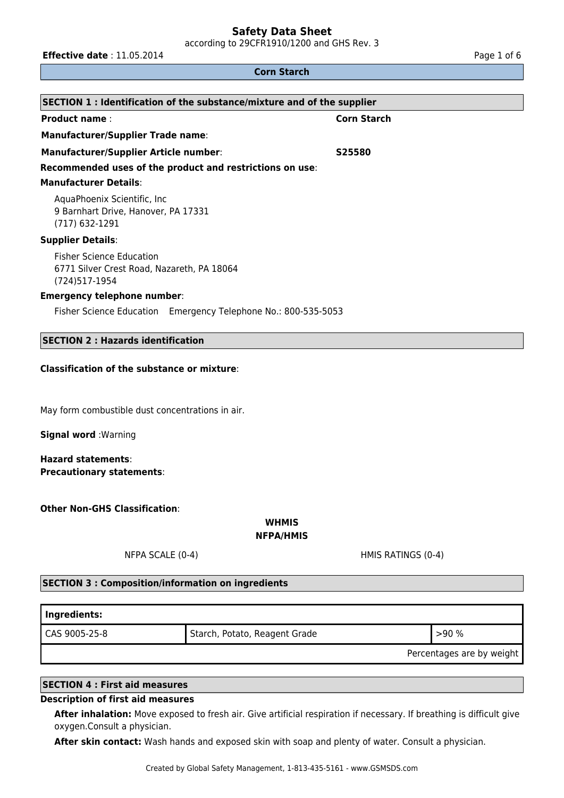according to 29CFR1910/1200 and GHS Rev. 3

**Effective date** : 11.05.2014 **Page 1 of 6 Page 1 of 6 Page 1 of 6** 

#### **Corn Starch**

| SECTION 1: Identification of the substance/mixture and of the supplier                          |                    |  |  |
|-------------------------------------------------------------------------------------------------|--------------------|--|--|
| <b>Product name:</b>                                                                            | <b>Corn Starch</b> |  |  |
| <b>Manufacturer/Supplier Trade name:</b>                                                        |                    |  |  |
| <b>Manufacturer/Supplier Article number:</b>                                                    | S25580             |  |  |
| Recommended uses of the product and restrictions on use:                                        |                    |  |  |
| <b>Manufacturer Details:</b>                                                                    |                    |  |  |
| AquaPhoenix Scientific, Inc.<br>9 Barnhart Drive, Hanover, PA 17331<br>(717) 632-1291           |                    |  |  |
| <b>Supplier Details:</b>                                                                        |                    |  |  |
| <b>Fisher Science Education</b><br>6771 Silver Crest Road, Nazareth, PA 18064<br>(724) 517-1954 |                    |  |  |
| <b>Emergency telephone number:</b>                                                              |                    |  |  |
| Fisher Science Education Emergency Telephone No.: 800-535-5053                                  |                    |  |  |

# **SECTION 2 : Hazards identification**

#### **Classification of the substance or mixture**:

May form combustible dust concentrations in air.

**Signal word** :Warning

**Hazard statements**: **Precautionary statements**:

**Other Non-GHS Classification**:

**WHMIS**

**NFPA/HMIS**

NFPA SCALE (0-4) THE RATINGS (0-4)

#### **SECTION 3 : Composition/information on ingredients**

| Ingredients:  |                               |                           |
|---------------|-------------------------------|---------------------------|
| CAS 9005-25-8 | Starch, Potato, Reagent Grade | >90%                      |
|               |                               | Percentages are by weight |

#### **SECTION 4 : First aid measures**

#### **Description of first aid measures**

**After inhalation:** Move exposed to fresh air. Give artificial respiration if necessary. If breathing is difficult give oxygen.Consult a physician.

**After skin contact:** Wash hands and exposed skin with soap and plenty of water. Consult a physician.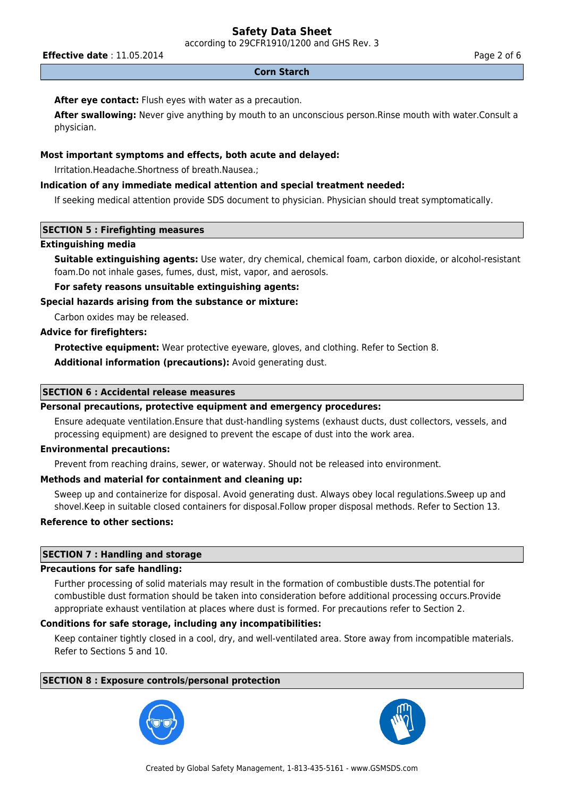according to 29CFR1910/1200 and GHS Rev. 3

**Effective date** : 11.05.2014 **Page 2 of 6 Page 2 of 6 Page 2 of 6** 

#### **Corn Starch**

## **After eye contact:** Flush eyes with water as a precaution.

**After swallowing:** Never give anything by mouth to an unconscious person.Rinse mouth with water.Consult a physician.

## **Most important symptoms and effects, both acute and delayed:**

Irritation.Headache.Shortness of breath.Nausea.;

## **Indication of any immediate medical attention and special treatment needed:**

If seeking medical attention provide SDS document to physician. Physician should treat symptomatically.

## **SECTION 5 : Firefighting measures**

#### **Extinguishing media**

**Suitable extinguishing agents:** Use water, dry chemical, chemical foam, carbon dioxide, or alcohol-resistant foam.Do not inhale gases, fumes, dust, mist, vapor, and aerosols.

## **For safety reasons unsuitable extinguishing agents:**

## **Special hazards arising from the substance or mixture:**

Carbon oxides may be released.

## **Advice for firefighters:**

**Protective equipment:** Wear protective eyeware, gloves, and clothing. Refer to Section 8.

**Additional information (precautions):** Avoid generating dust.

## **SECTION 6 : Accidental release measures**

## **Personal precautions, protective equipment and emergency procedures:**

Ensure adequate ventilation.Ensure that dust-handling systems (exhaust ducts, dust collectors, vessels, and processing equipment) are designed to prevent the escape of dust into the work area.

## **Environmental precautions:**

Prevent from reaching drains, sewer, or waterway. Should not be released into environment.

## **Methods and material for containment and cleaning up:**

Sweep up and containerize for disposal. Avoid generating dust. Always obey local regulations.Sweep up and shovel.Keep in suitable closed containers for disposal.Follow proper disposal methods. Refer to Section 13.

## **Reference to other sections:**

## **SECTION 7 : Handling and storage**

## **Precautions for safe handling:**

Further processing of solid materials may result in the formation of combustible dusts.The potential for combustible dust formation should be taken into consideration before additional processing occurs.Provide appropriate exhaust ventilation at places where dust is formed. For precautions refer to Section 2.

## **Conditions for safe storage, including any incompatibilities:**

Keep container tightly closed in a cool, dry, and well-ventilated area. Store away from incompatible materials. Refer to Sections 5 and 10.

## **SECTION 8 : Exposure controls/personal protection**



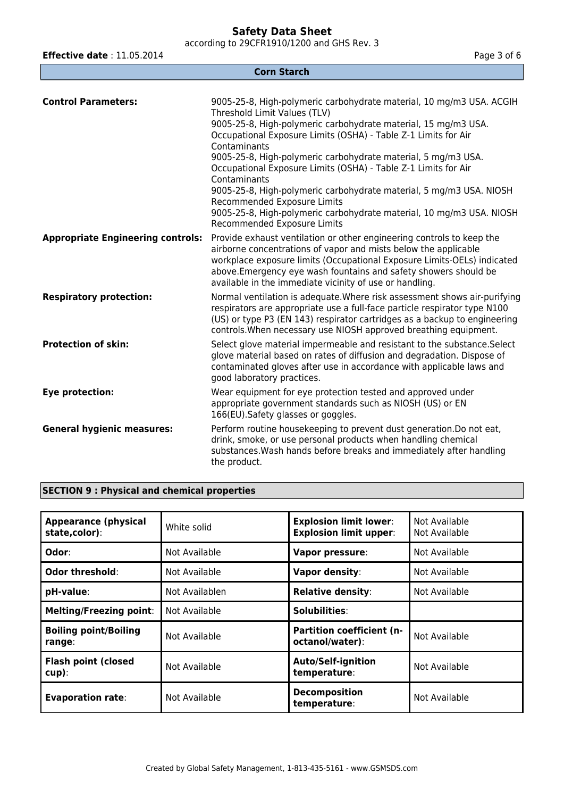according to 29CFR1910/1200 and GHS Rev. 3

**Effective date** : 11.05.2014 **Page 3 of 6 Page 3 of 6 Page 3 of 6 Corn Starch Control Parameters:** 9005-25-8, High-polymeric carbohydrate material, 10 mg/m3 USA. ACGIH Threshold Limit Values (TLV) 9005-25-8, High-polymeric carbohydrate material, 15 mg/m3 USA. Occupational Exposure Limits (OSHA) - Table Z-1 Limits for Air **Contaminants** 9005-25-8, High-polymeric carbohydrate material, 5 mg/m3 USA. Occupational Exposure Limits (OSHA) - Table Z-1 Limits for Air Contaminants 9005-25-8, High-polymeric carbohydrate material, 5 mg/m3 USA. NIOSH Recommended Exposure Limits 9005-25-8, High-polymeric carbohydrate material, 10 mg/m3 USA. NIOSH Recommended Exposure Limits **Appropriate Engineering controls:** Provide exhaust ventilation or other engineering controls to keep the airborne concentrations of vapor and mists below the applicable workplace exposure limits (Occupational Exposure Limits-OELs) indicated above.Emergency eye wash fountains and safety showers should be available in the immediate vicinity of use or handling. **Respiratory protection:** Normal ventilation is adequate.Where risk assessment shows air-purifying respirators are appropriate use a full-face particle respirator type N100 (US) or type P3 (EN 143) respirator cartridges as a backup to engineering controls.When necessary use NIOSH approved breathing equipment. **Protection of skin:** Select glove material impermeable and resistant to the substance. Select glove material based on rates of diffusion and degradation. Dispose of contaminated gloves after use in accordance with applicable laws and good laboratory practices. **Eye protection:** Wear equipment for eye protection tested and approved under appropriate government standards such as NIOSH (US) or EN 166(EU).Safety glasses or goggles. **General hygienic measures:** Perform routine housekeeping to prevent dust generation.Do not eat, drink, smoke, or use personal products when handling chemical substances.Wash hands before breaks and immediately after handling the product.

## **SECTION 9 : Physical and chemical properties**

| <b>Appearance (physical</b><br>state,color): | White solid    | <b>Explosion limit lower:</b><br><b>Explosion limit upper:</b> | Not Available<br>Not Available |
|----------------------------------------------|----------------|----------------------------------------------------------------|--------------------------------|
| Odor:                                        | Not Available  | <b>Vapor pressure:</b>                                         | Not Available                  |
| Odor threshold:                              | Not Available  | Vapor density:                                                 | Not Available                  |
| pH-value:                                    | Not Availablen | <b>Relative density:</b>                                       | Not Available                  |
| <b>Melting/Freezing point:</b>               | Not Available  | Solubilities:                                                  |                                |
| <b>Boiling point/Boiling</b><br>range:       | Not Available  | <b>Partition coefficient (n-</b><br>octanol/water):            | Not Available                  |
| <b>Flash point (closed</b><br>$cup$ ):       | Not Available  | <b>Auto/Self-ignition</b><br>temperature:                      | Not Available                  |
| <b>Evaporation rate:</b>                     | Not Available  | <b>Decomposition</b><br>temperature:                           | Not Available                  |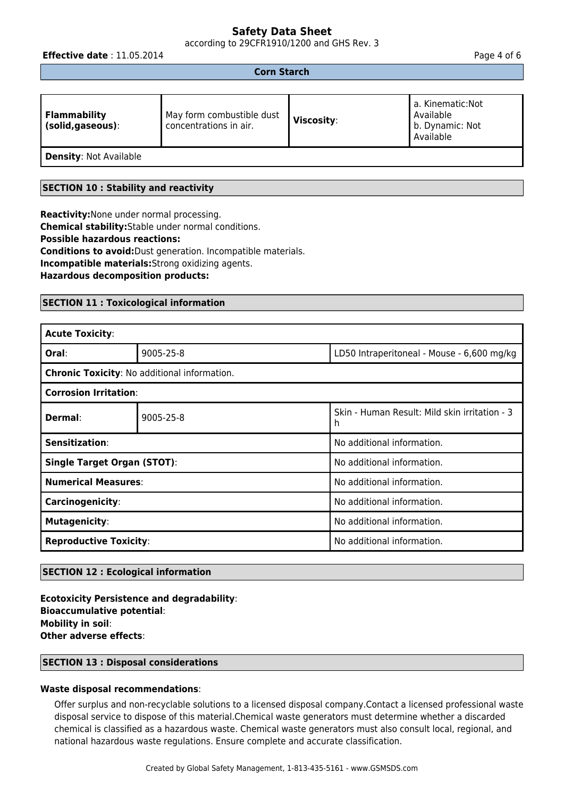according to 29CFR1910/1200 and GHS Rev. 3

**Effective date** : 11.05.2014 **Page 4 of 6 Page 4 of 6 Page 4 of 6** 

## **Corn Starch**

| <b>Flammability</b><br>(solid, gaseous): | May form combustible dust<br>concentrations in air. | Viscosity: | a. Kinematic:Not<br>Available<br>b. Dynamic: Not<br>Available |
|------------------------------------------|-----------------------------------------------------|------------|---------------------------------------------------------------|
| <b>Density: Not Available</b>            |                                                     |            |                                                               |

**SECTION 10 : Stability and reactivity**

**Reactivity:**None under normal processing. **Chemical stability:**Stable under normal conditions. **Possible hazardous reactions: Conditions to avoid:**Dust generation. Incompatible materials. **Incompatible materials:**Strong oxidizing agents. **Hazardous decomposition products:**

## **SECTION 11 : Toxicological information**

| <b>Acute Toxicity:</b>                       |           |                                                    |  |  |
|----------------------------------------------|-----------|----------------------------------------------------|--|--|
| Oral:                                        | 9005-25-8 | LD50 Intraperitoneal - Mouse - 6,600 mg/kg         |  |  |
| Chronic Toxicity: No additional information. |           |                                                    |  |  |
| <b>Corrosion Irritation:</b>                 |           |                                                    |  |  |
| Dermal:                                      | 9005-25-8 | Skin - Human Result: Mild skin irritation - 3<br>h |  |  |
| Sensitization:                               |           | No additional information.                         |  |  |
| <b>Single Target Organ (STOT):</b>           |           | No additional information.                         |  |  |
| <b>Numerical Measures:</b>                   |           | No additional information.                         |  |  |
| Carcinogenicity:                             |           | No additional information.                         |  |  |
| <b>Mutagenicity:</b>                         |           | No additional information.                         |  |  |
| <b>Reproductive Toxicity:</b>                |           | No additional information.                         |  |  |

## **SECTION 12 : Ecological information**

**Ecotoxicity Persistence and degradability**: **Bioaccumulative potential**: **Mobility in soil**: **Other adverse effects**:

#### **SECTION 13 : Disposal considerations**

#### **Waste disposal recommendations**:

Offer surplus and non-recyclable solutions to a licensed disposal company.Contact a licensed professional waste disposal service to dispose of this material.Chemical waste generators must determine whether a discarded chemical is classified as a hazardous waste. Chemical waste generators must also consult local, regional, and national hazardous waste regulations. Ensure complete and accurate classification.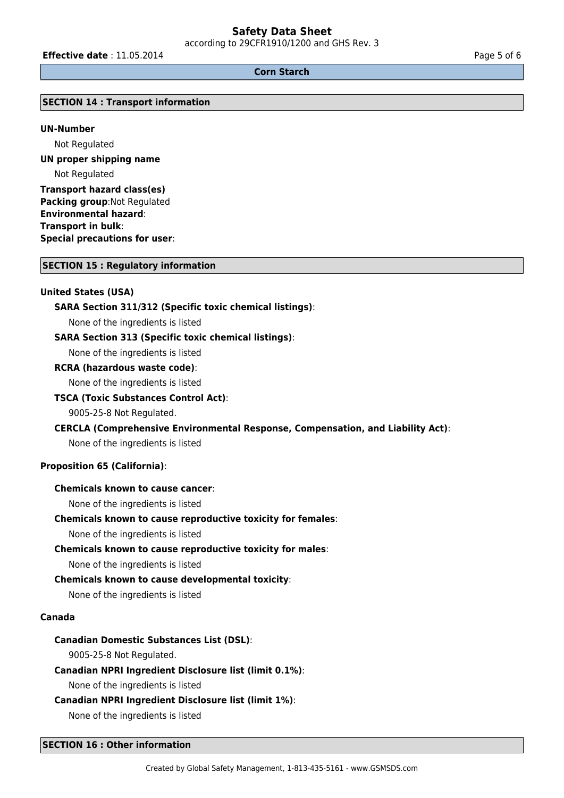according to 29CFR1910/1200 and GHS Rev. 3

**Effective date** : 11.05.2014 **Page 5 of 6** 

#### **Corn Starch**

#### **SECTION 14 : Transport information**

#### **UN-Number**

Not Regulated

**UN proper shipping name** Not Regulated

**Transport hazard class(es) Packing group**:Not Regulated **Environmental hazard**: **Transport in bulk**: **Special precautions for user**:

#### **SECTION 15 : Regulatory information**

#### **United States (USA)**

#### **SARA Section 311/312 (Specific toxic chemical listings)**:

None of the ingredients is listed

#### **SARA Section 313 (Specific toxic chemical listings)**:

None of the ingredients is listed

#### **RCRA (hazardous waste code)**:

None of the ingredients is listed

#### **TSCA (Toxic Substances Control Act)**:

9005-25-8 Not Regulated.

#### **CERCLA (Comprehensive Environmental Response, Compensation, and Liability Act)**:

None of the ingredients is listed

#### **Proposition 65 (California)**:

#### **Chemicals known to cause cancer**:

None of the ingredients is listed

#### **Chemicals known to cause reproductive toxicity for females**:

None of the ingredients is listed

#### **Chemicals known to cause reproductive toxicity for males**:

None of the ingredients is listed

#### **Chemicals known to cause developmental toxicity**:

None of the ingredients is listed

#### **Canada**

#### **Canadian Domestic Substances List (DSL)**:

9005-25-8 Not Regulated.

#### **Canadian NPRI Ingredient Disclosure list (limit 0.1%)**:

None of the ingredients is listed

#### **Canadian NPRI Ingredient Disclosure list (limit 1%)**:

None of the ingredients is listed

#### **SECTION 16 : Other information**